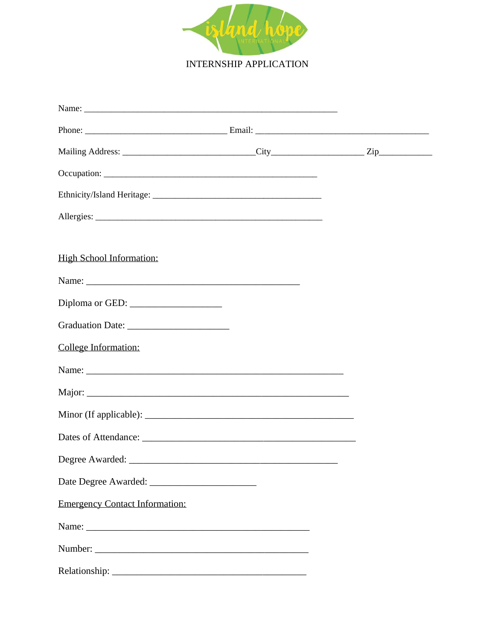

**INTERNSHIP APPLICATION** 

| Name:                                                                                                                                                                                                                         |  |  |
|-------------------------------------------------------------------------------------------------------------------------------------------------------------------------------------------------------------------------------|--|--|
|                                                                                                                                                                                                                               |  |  |
|                                                                                                                                                                                                                               |  |  |
|                                                                                                                                                                                                                               |  |  |
|                                                                                                                                                                                                                               |  |  |
|                                                                                                                                                                                                                               |  |  |
|                                                                                                                                                                                                                               |  |  |
| High School Information:                                                                                                                                                                                                      |  |  |
|                                                                                                                                                                                                                               |  |  |
|                                                                                                                                                                                                                               |  |  |
|                                                                                                                                                                                                                               |  |  |
| College Information:                                                                                                                                                                                                          |  |  |
|                                                                                                                                                                                                                               |  |  |
|                                                                                                                                                                                                                               |  |  |
|                                                                                                                                                                                                                               |  |  |
|                                                                                                                                                                                                                               |  |  |
|                                                                                                                                                                                                                               |  |  |
|                                                                                                                                                                                                                               |  |  |
| <b>Emergency Contact Information:</b>                                                                                                                                                                                         |  |  |
| Name:                                                                                                                                                                                                                         |  |  |
|                                                                                                                                                                                                                               |  |  |
| Relationship: The contract of the contract of the contract of the contract of the contract of the contract of the contract of the contract of the contract of the contract of the contract of the contract of the contract of |  |  |